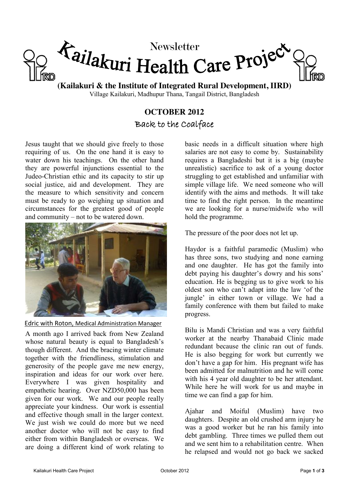

**(Kailakuri & the Institute of Integrated Rural Development, IIRD)** Village Kailakuri, Madhupur Thana, Tangail District, Bangladesh

## **OCTOBER 2012** Back to the Coalface

Jesus taught that we should give freely to those requiring of us. On the one hand it is easy to water down his teachings. On the other hand they are powerful injunctions essential to the Judeo-Christian ethic and its capacity to stir up social justice, aid and development. They are the measure to which sensitivity and concern must be ready to go weighing up situation and circumstances for the greatest good of people and community – not to be watered down.



Edric with Roton, Medical Administration Manager

A month ago I arrived back from New Zealand whose natural beauty is equal to Bangladesh's though different. And the bracing winter climate together with the friendliness, stimulation and generosity of the people gave me new energy, inspiration and ideas for our work over here. Everywhere I was given hospitality and empathetic hearing. Over NZD50,000 has been given for our work. We and our people really appreciate your kindness. Our work is essential and effective though small in the larger context. We just wish we could do more but we need another doctor who will not be easy to find either from within Bangladesh or overseas. We are doing a different kind of work relating to

basic needs in a difficult situation where high salaries are not easy to come by. Sustainability requires a Bangladeshi but it is a big (maybe unrealistic) sacrifice to ask of a young doctor struggling to get established and unfamiliar with simple village life. We need someone who will identify with the aims and methods. It will take time to find the right person. In the meantime we are looking for a nurse/midwife who will hold the programme.

The pressure of the poor does not let up.

Haydor is a faithful paramedic (Muslim) who has three sons, two studying and none earning and one daughter. He has got the family into debt paying his daughter's dowry and his sons' education. He is begging us to give work to his oldest son who can't adapt into the law 'of the jungle' in either town or village. We had a family conference with them but failed to make progress.

Bilu is Mandi Christian and was a very faithful worker at the nearby Thanabaid Clinic made redundant because the clinic ran out of funds. He is also begging for work but currently we don't have a gap for him. His pregnant wife has been admitted for malnutrition and he will come with his 4 year old daughter to be her attendant. While here he will work for us and maybe in time we can find a gap for him.

Ajahar and Moiful (Muslim) have two daughters. Despite an old crushed arm injury he was a good worker but he ran his family into debt gambling. Three times we pulled them out and we sent him to a rehabilitation centre. When he relapsed and would not go back we sacked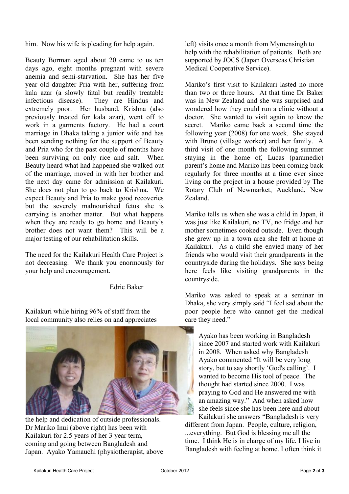him. Now his wife is pleading for help again.

Beauty Borman aged about 20 came to us ten days ago, eight months pregnant with severe anemia and semi-starvation. She has her five year old daughter Pria with her, suffering from kala azar (a slowly fatal but readily treatable infectious disease). They are Hindus and extremely poor. Her husband, Krishna (also previously treated for kala azar), went off to work in a garments factory. He had a court marriage in Dhaka taking a junior wife and has been sending nothing for the support of Beauty and Pria who for the past couple of months have been surviving on only rice and salt. When Beauty heard what had happened she walked out of the marriage, moved in with her brother and the next day came for admission at Kailakuri. She does not plan to go back to Krishna. We expect Beauty and Pria to make good recoveries but the severely malnourished fetus she is carrying is another matter. But what happens when they are ready to go home and Beauty's brother does not want them? This will be a major testing of our rehabilitation skills.

The need for the Kailakuri Health Care Project is not decreasing. We thank you enormously for your help and encouragement.

Edric Baker

Kailakuri while hiring 96% of staff from the local community also relies on and appreciates



the help and dedication of outside professionals. Dr Mariko Inui (above right) has been with Kailakuri for 2.5 years of her 3 year term, coming and going between Bangladesh and Japan. Ayako Yamauchi (physiotherapist, above

left) visits once a month from Mymensingh to help with the rehabilitation of patients. Both are supported by JOCS (Japan Overseas Christian Medical Cooperative Service).

Mariko's first visit to Kailakuri lasted no more than two or three hours. At that time Dr Baker was in New Zealand and she was surprised and wondered how they could run a clinic without a doctor. She wanted to visit again to know the secret. Mariko came back a second time the following year (2008) for one week. She stayed with Bruno (village worker) and her family. A third visit of one month the following summer staying in the home of, Lucas (paramedic) parent's home and Mariko has been coming back regularly for three months at a time ever since living on the project in a house provided by The Rotary Club of Newmarket, Auckland, New Zealand.

Mariko tells us when she was a child in Japan, it was just like Kailakuri, no TV, no fridge and her mother sometimes cooked outside. Even though she grew up in a town area she felt at home at Kailakuri. As a child she envied many of her friends who would visit their grandparents in the countryside during the holidays. She says being here feels like visiting grandparents in the countryside.

Mariko was asked to speak at a seminar in Dhaka, she very simply said "I feel sad about the poor people here who cannot get the medical care they need."

Ayako has been working in Bangladesh since 2007 and started work with Kailakuri in 2008. When asked why Bangladesh Ayako commented "It will be very long story, but to say shortly 'God's calling'. I wanted to become His tool of peace. The thought had started since 2000. I was praying to God and He answered me with an amazing way." And when asked how she feels since she has been here and about Kailakuri she answers "Bangladesh is very

different from Japan. People, culture, religion, ...everything. But God is blessing me all the time. I think He is in charge of my life. I live in Bangladesh with feeling at home. I often think it